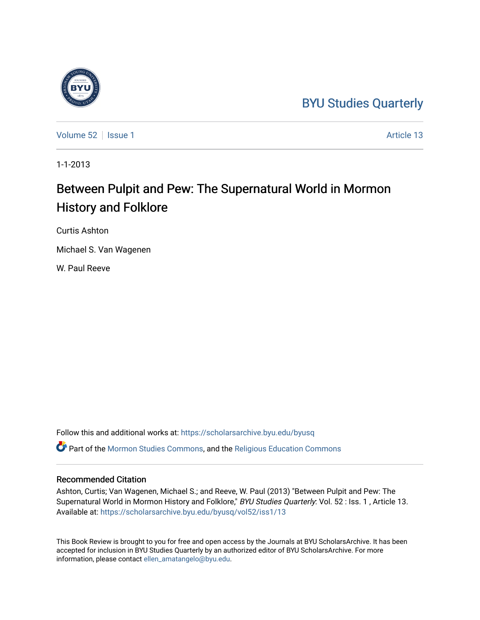## [BYU Studies Quarterly](https://scholarsarchive.byu.edu/byusq)

[Volume 52](https://scholarsarchive.byu.edu/byusq/vol52) | [Issue 1](https://scholarsarchive.byu.edu/byusq/vol52/iss1) Article 13

1-1-2013

## Between Pulpit and Pew: The Supernatural World in Mormon History and Folklore

Curtis Ashton

Michael S. Van Wagenen

W. Paul Reeve

Follow this and additional works at: [https://scholarsarchive.byu.edu/byusq](https://scholarsarchive.byu.edu/byusq?utm_source=scholarsarchive.byu.edu%2Fbyusq%2Fvol52%2Fiss1%2F13&utm_medium=PDF&utm_campaign=PDFCoverPages)  Part of the [Mormon Studies Commons](http://network.bepress.com/hgg/discipline/1360?utm_source=scholarsarchive.byu.edu%2Fbyusq%2Fvol52%2Fiss1%2F13&utm_medium=PDF&utm_campaign=PDFCoverPages), and the [Religious Education Commons](http://network.bepress.com/hgg/discipline/1414?utm_source=scholarsarchive.byu.edu%2Fbyusq%2Fvol52%2Fiss1%2F13&utm_medium=PDF&utm_campaign=PDFCoverPages) 

## Recommended Citation

Ashton, Curtis; Van Wagenen, Michael S.; and Reeve, W. Paul (2013) "Between Pulpit and Pew: The Supernatural World in Mormon History and Folklore," BYU Studies Quarterly: Vol. 52 : Iss. 1, Article 13. Available at: [https://scholarsarchive.byu.edu/byusq/vol52/iss1/13](https://scholarsarchive.byu.edu/byusq/vol52/iss1/13?utm_source=scholarsarchive.byu.edu%2Fbyusq%2Fvol52%2Fiss1%2F13&utm_medium=PDF&utm_campaign=PDFCoverPages) 

This Book Review is brought to you for free and open access by the Journals at BYU ScholarsArchive. It has been accepted for inclusion in BYU Studies Quarterly by an authorized editor of BYU ScholarsArchive. For more information, please contact [ellen\\_amatangelo@byu.edu.](mailto:ellen_amatangelo@byu.edu)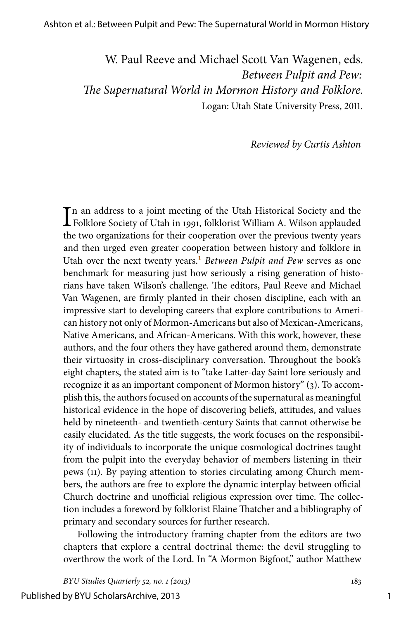W. Paul Reeve and Michael Scott Van Wagenen, eds. *Between Pulpit and Pew: The Supernatural World in Mormon History and Folklore.* Logan: Utah State University Press, 2011.

*Reviewed by Curtis Ashton*

<span id="page-1-0"></span>In an address to a joint meeting of the Utah Historical Society and the Folklore Society of Utah in 1991, folklorist William A. Wilson applauded Folklore Society of Utah in 1991, folklorist William A. Wilson applauded the two organizations for their cooperation over the previous twenty years and then urged even greater cooperation between history and folklore in Utah over the next twenty years.<sup>1</sup> Between Pulpit and Pew serves as one benchmark for measuring just how seriously a rising generation of historians have taken Wilson's challenge. The editors, Paul Reeve and Michael Van Wagenen, are firmly planted in their chosen discipline, each with an impressive start to developing careers that explore contributions to American history not only of Mormon-Americans but also of Mexican-Americans, Native Americans, and African-Americans. With this work, however, these authors, and the four others they have gathered around them, demonstrate their virtuosity in cross-disciplinary conversation. Throughout the book's eight chapters, the stated aim is to "take Latter-day Saint lore seriously and recognize it as an important component of Mormon history" (3). To accomplish this, the authors focused on accounts of the supernatural as meaningful historical evidence in the hope of discovering beliefs, attitudes, and values held by nineteenth- and twentieth-century Saints that cannot otherwise be easily elucidated. As the title suggests, the work focuses on the responsibility of individuals to incorporate the unique cosmological doctrines taught from the pulpit into the everyday behavior of members listening in their pews (11). By paying attention to stories circulating among Church members, the authors are free to explore the dynamic interplay between official Church doctrine and unofficial religious expression over time. The collection includes a foreword by folklorist Elaine Thatcher and a bibliography of primary and secondary sources for further research.

Following the introductory framing chapter from the editors are two chapters that explore a central doctrinal theme: the devil struggling to overthrow the work of the Lord. In "A Mormon Bigfoot," author Matthew

*BYU Studies Quarterly 52, no. 1 (2013)* 183

Published by BYU ScholarsArchive, 2013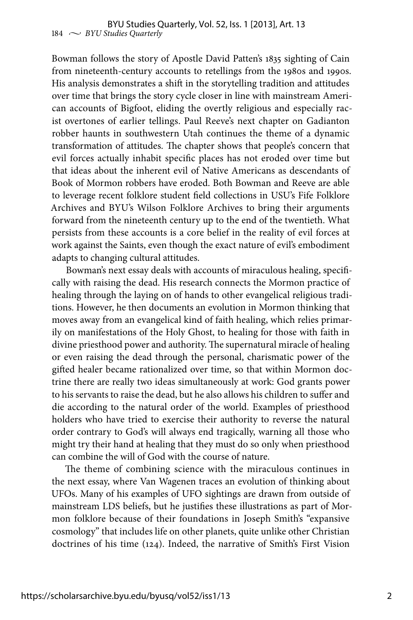Bowman follows the story of Apostle David Patten's 1835 sighting of Cain from nineteenth-century accounts to retellings from the 1980s and 1990s. His analysis demonstrates a shift in the storytelling tradition and attitudes over time that brings the story cycle closer in line with mainstream American accounts of Bigfoot, eliding the overtly religious and especially racist overtones of earlier tellings. Paul Reeve's next chapter on Gadianton robber haunts in southwestern Utah continues the theme of a dynamic transformation of attitudes. The chapter shows that people's concern that evil forces actually inhabit specific places has not eroded over time but that ideas about the inherent evil of Native Americans as descendants of Book of Mormon robbers have eroded. Both Bowman and Reeve are able to leverage recent folklore student field collections in USU's Fife Folklore Archives and BYU's Wilson Folklore Archives to bring their arguments forward from the nineteenth century up to the end of the twentieth. What persists from these accounts is a core belief in the reality of evil forces at work against the Saints, even though the exact nature of evil's embodiment adapts to changing cultural attitudes.

Bowman's next essay deals with accounts of miraculous healing, specifically with raising the dead. His research connects the Mormon practice of healing through the laying on of hands to other evangelical religious traditions. However, he then documents an evolution in Mormon thinking that moves away from an evangelical kind of faith healing, which relies primarily on manifestations of the Holy Ghost, to healing for those with faith in divine priesthood power and authority. The supernatural miracle of healing or even raising the dead through the personal, charismatic power of the gifted healer became rationalized over time, so that within Mormon doctrine there are really two ideas simultaneously at work: God grants power to his servants to raise the dead, but he also allows his children to suffer and die according to the natural order of the world. Examples of priesthood holders who have tried to exercise their authority to reverse the natural order contrary to God's will always end tragically, warning all those who might try their hand at healing that they must do so only when priesthood can combine the will of God with the course of nature.

The theme of combining science with the miraculous continues in the next essay, where Van Wagenen traces an evolution of thinking about UFOs. Many of his examples of UFO sightings are drawn from outside of mainstream LDS beliefs, but he justifies these illustrations as part of Mormon folklore because of their foundations in Joseph Smith's "expansive cosmology" that includes life on other planets, quite unlike other Christian doctrines of his time (124). Indeed, the narrative of Smith's First Vision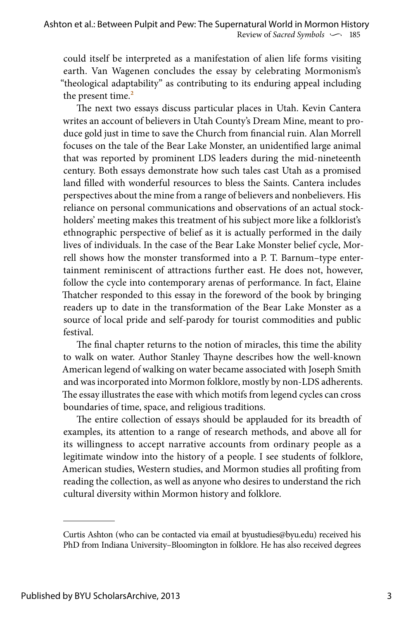could itself be interpreted as a manifestation of alien life forms visiting earth. Van Wagenen concludes the essay by celebrating Mormonism's "theological adaptability" as contributing to its enduring appeal including the present time.<sup>2</sup>

<span id="page-3-0"></span>The next two essays discuss particular places in Utah. Kevin Cantera writes an account of believers in Utah County's Dream Mine, meant to produce gold just in time to save the Church from financial ruin. Alan Morrell focuses on the tale of the Bear Lake Monster, an unidentified large animal that was reported by prominent LDS leaders during the mid-nineteenth century. Both essays demonstrate how such tales cast Utah as a promised land filled with wonderful resources to bless the Saints. Cantera includes perspectives about the mine from a range of believers and nonbelievers. His reliance on personal communications and observations of an actual stockholders' meeting makes this treatment of his subject more like a folklorist's ethnographic perspective of belief as it is actually performed in the daily lives of individuals. In the case of the Bear Lake Monster belief cycle, Morrell shows how the monster transformed into a P. T. Barnum–type entertainment reminiscent of attractions further east. He does not, however, follow the cycle into contemporary arenas of performance. In fact, Elaine Thatcher responded to this essay in the foreword of the book by bringing readers up to date in the transformation of the Bear Lake Monster as a source of local pride and self-parody for tourist commodities and public festival.

The final chapter returns to the notion of miracles, this time the ability to walk on water. Author Stanley Thayne describes how the well-known American legend of walking on water became associated with Joseph Smith and was incorporated into Mormon folklore, mostly by non-LDS adherents. The essay illustrates the ease with which motifs from legend cycles can cross boundaries of time, space, and religious traditions.

The entire collection of essays should be applauded for its breadth of examples, its attention to a range of research methods, and above all for its willingness to accept narrative accounts from ordinary people as a legitimate window into the history of a people. I see students of folklore, American studies, Western studies, and Mormon studies all profiting from reading the collection, as well as anyone who desires to understand the rich cultural diversity within Mormon history and folklore.

Curtis Ashton (who can be contacted via email at byustudies@byu.edu) received his PhD from Indiana University–Bloomington in folklore. He has also received degrees